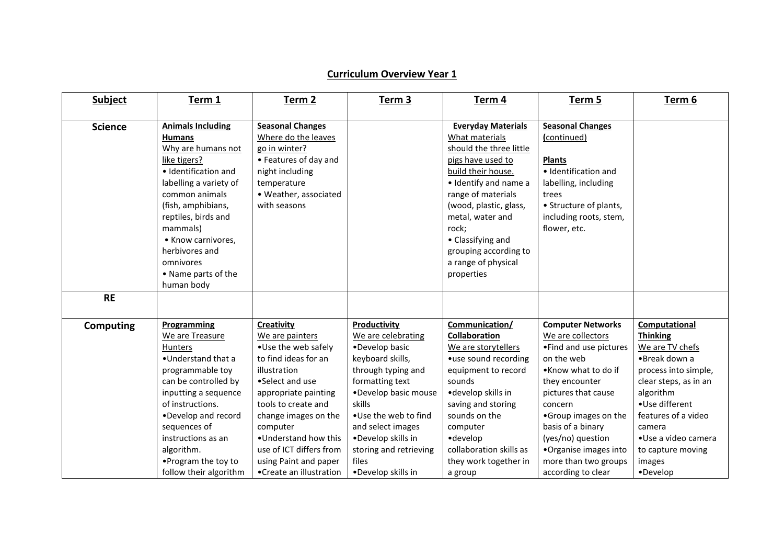## **Curriculum Overview Year 1**

| <b>Subject</b>   | Term 1                                                                                                                                                                                                                                                                                                 | Term <sub>2</sub>                                                                                                                                                                                                                                                                                           | Term <sub>3</sub>                                                                                                                                                                                                                                                               | Term 4                                                                                                                                                                                                                                                                                                     | Term 5                                                                                                                                                                                                                                                                                                    | Term 6                                                                                                                                                                                                                                                  |
|------------------|--------------------------------------------------------------------------------------------------------------------------------------------------------------------------------------------------------------------------------------------------------------------------------------------------------|-------------------------------------------------------------------------------------------------------------------------------------------------------------------------------------------------------------------------------------------------------------------------------------------------------------|---------------------------------------------------------------------------------------------------------------------------------------------------------------------------------------------------------------------------------------------------------------------------------|------------------------------------------------------------------------------------------------------------------------------------------------------------------------------------------------------------------------------------------------------------------------------------------------------------|-----------------------------------------------------------------------------------------------------------------------------------------------------------------------------------------------------------------------------------------------------------------------------------------------------------|---------------------------------------------------------------------------------------------------------------------------------------------------------------------------------------------------------------------------------------------------------|
| <b>Science</b>   | <b>Animals Including</b><br><b>Humans</b><br>Why are humans not<br>like tigers?<br>· Identification and<br>labelling a variety of<br>common animals<br>(fish, amphibians,<br>reptiles, birds and<br>mammals)<br>• Know carnivores,<br>herbivores and<br>omnivores<br>• Name parts of the<br>human body | <b>Seasonal Changes</b><br>Where do the leaves<br>go in winter?<br>• Features of day and<br>night including<br>temperature<br>• Weather, associated<br>with seasons                                                                                                                                         |                                                                                                                                                                                                                                                                                 | <b>Everyday Materials</b><br>What materials<br>should the three little<br>pigs have used to<br>build their house.<br>· Identify and name a<br>range of materials<br>(wood, plastic, glass,<br>metal, water and<br>rock;<br>• Classifying and<br>grouping according to<br>a range of physical<br>properties | <b>Seasonal Changes</b><br>(continued)<br><b>Plants</b><br>· Identification and<br>labelling, including<br>trees<br>• Structure of plants,<br>including roots, stem,<br>flower, etc.                                                                                                                      |                                                                                                                                                                                                                                                         |
| <b>RE</b>        |                                                                                                                                                                                                                                                                                                        |                                                                                                                                                                                                                                                                                                             |                                                                                                                                                                                                                                                                                 |                                                                                                                                                                                                                                                                                                            |                                                                                                                                                                                                                                                                                                           |                                                                                                                                                                                                                                                         |
| <b>Computing</b> | Programming<br>We are Treasure<br><b>Hunters</b><br>•Understand that a<br>programmable toy<br>can be controlled by<br>inputting a sequence<br>of instructions.<br>•Develop and record<br>sequences of<br>instructions as an<br>algorithm.<br>• Program the toy to<br>follow their algorithm            | Creativity<br>We are painters<br>•Use the web safely<br>to find ideas for an<br>illustration<br>•Select and use<br>appropriate painting<br>tools to create and<br>change images on the<br>computer<br>. Understand how this<br>use of ICT differs from<br>using Paint and paper<br>• Create an illustration | Productivity<br>We are celebrating<br>•Develop basic<br>keyboard skills,<br>through typing and<br>formatting text<br>•Develop basic mouse<br>skills<br>•Use the web to find<br>and select images<br>·Develop skills in<br>storing and retrieving<br>files<br>·Develop skills in | Communication/<br>Collaboration<br>We are storytellers<br>•use sound recording<br>equipment to record<br>sounds<br>•develop skills in<br>saving and storing<br>sounds on the<br>computer<br>•develop<br>collaboration skills as<br>they work together in<br>a group                                        | <b>Computer Networks</b><br>We are collectors<br>•Find and use pictures<br>on the web<br>•Know what to do if<br>they encounter<br>pictures that cause<br>concern<br>•Group images on the<br>basis of a binary<br>(yes/no) question<br>•Organise images into<br>more than two groups<br>according to clear | Computational<br><b>Thinking</b><br>We are TV chefs<br>•Break down a<br>process into simple,<br>clear steps, as in an<br>algorithm<br>•Use different<br>features of a video<br>camera<br>•Use a video camera<br>to capture moving<br>images<br>•Develop |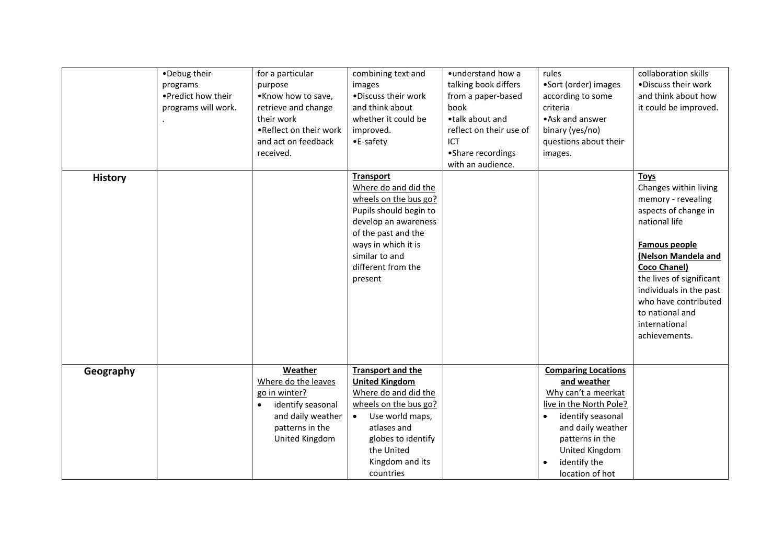|                | •Debug their<br>programs<br>. Predict how their<br>programs will work. | for a particular<br>purpose<br>•Know how to save,<br>retrieve and change<br>their work<br>.Reflect on their work<br>and act on feedback     | combining text and<br>images<br>. Discuss their work<br>and think about<br>whether it could be<br>improved.<br>•E-safety                                                                                              | • understand how a<br>talking book differs<br>from a paper-based<br>book<br>•talk about and<br>reflect on their use of<br>ICT | rules<br>•Sort (order) images<br>according to some<br>criteria<br>• Ask and answer<br>binary (yes/no)<br>questions about their                                                                                             | collaboration skills<br>.Discuss their work<br>and think about how<br>it could be improved.                                                                                                                                                                                                            |
|----------------|------------------------------------------------------------------------|---------------------------------------------------------------------------------------------------------------------------------------------|-----------------------------------------------------------------------------------------------------------------------------------------------------------------------------------------------------------------------|-------------------------------------------------------------------------------------------------------------------------------|----------------------------------------------------------------------------------------------------------------------------------------------------------------------------------------------------------------------------|--------------------------------------------------------------------------------------------------------------------------------------------------------------------------------------------------------------------------------------------------------------------------------------------------------|
|                |                                                                        | received.                                                                                                                                   |                                                                                                                                                                                                                       | • Share recordings<br>with an audience.                                                                                       | images.                                                                                                                                                                                                                    |                                                                                                                                                                                                                                                                                                        |
| <b>History</b> |                                                                        |                                                                                                                                             | <b>Transport</b><br>Where do and did the<br>wheels on the bus go?<br>Pupils should begin to<br>develop an awareness<br>of the past and the<br>ways in which it is<br>similar to and<br>different from the<br>present  |                                                                                                                               |                                                                                                                                                                                                                            | <b>Toys</b><br>Changes within living<br>memory - revealing<br>aspects of change in<br>national life<br>Famous people<br>(Nelson Mandela and<br><b>Coco Chanel)</b><br>the lives of significant<br>individuals in the past<br>who have contributed<br>to national and<br>international<br>achievements. |
| Geography      |                                                                        | Weather<br>Where do the leaves<br>go in winter?<br>identify seasonal<br>$\bullet$<br>and daily weather<br>patterns in the<br>United Kingdom | <b>Transport and the</b><br><b>United Kingdom</b><br>Where do and did the<br>wheels on the bus go?<br>Use world maps,<br>$\bullet$<br>atlases and<br>globes to identify<br>the United<br>Kingdom and its<br>countries |                                                                                                                               | <b>Comparing Locations</b><br>and weather<br>Why can't a meerkat<br>live in the North Pole?<br>identify seasonal<br>$\bullet$<br>and daily weather<br>patterns in the<br>United Kingdom<br>identify the<br>location of hot |                                                                                                                                                                                                                                                                                                        |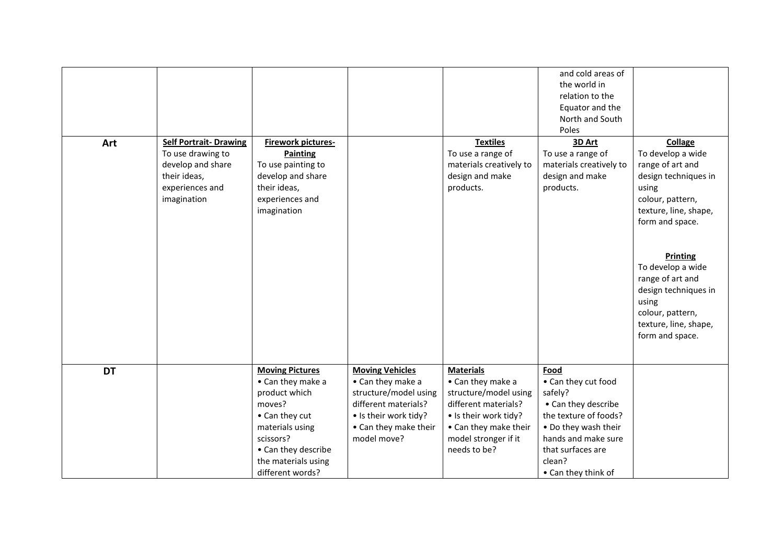| Art       | <b>Self Portrait- Drawing</b><br>To use drawing to<br>develop and share<br>their ideas,<br>experiences and<br>imagination | <b>Firework pictures-</b><br><b>Painting</b><br>To use painting to<br>develop and share<br>their ideas,<br>experiences and<br>imagination |                                                                      | <b>Textiles</b><br>To use a range of<br>materials creatively to<br>design and make<br>products. | and cold areas of<br>the world in<br>relation to the<br>Equator and the<br>North and South<br>Poles<br>3D Art<br>To use a range of<br>materials creatively to<br>design and make<br>products. | Collage<br>To develop a wide<br>range of art and<br>design techniques in<br>using<br>colour, pattern,<br>texture, line, shape,<br>form and space.<br><b>Printing</b><br>To develop a wide<br>range of art and<br>design techniques in<br>using<br>colour, pattern,<br>texture, line, shape,<br>form and space. |
|-----------|---------------------------------------------------------------------------------------------------------------------------|-------------------------------------------------------------------------------------------------------------------------------------------|----------------------------------------------------------------------|-------------------------------------------------------------------------------------------------|-----------------------------------------------------------------------------------------------------------------------------------------------------------------------------------------------|----------------------------------------------------------------------------------------------------------------------------------------------------------------------------------------------------------------------------------------------------------------------------------------------------------------|
| <b>DT</b> |                                                                                                                           | <b>Moving Pictures</b><br>• Can they make a<br>product which                                                                              | <b>Moving Vehicles</b><br>• Can they make a<br>structure/model using | <b>Materials</b><br>• Can they make a<br>structure/model using                                  | Food<br>• Can they cut food<br>safely?                                                                                                                                                        |                                                                                                                                                                                                                                                                                                                |
|           |                                                                                                                           | moves?                                                                                                                                    | different materials?                                                 | different materials?                                                                            | • Can they describe                                                                                                                                                                           |                                                                                                                                                                                                                                                                                                                |
|           |                                                                                                                           | • Can they cut                                                                                                                            | • Is their work tidy?                                                | • Is their work tidy?                                                                           | the texture of foods?                                                                                                                                                                         |                                                                                                                                                                                                                                                                                                                |
|           |                                                                                                                           | materials using                                                                                                                           | • Can they make their                                                | • Can they make their                                                                           | . Do they wash their                                                                                                                                                                          |                                                                                                                                                                                                                                                                                                                |
|           |                                                                                                                           | scissors?                                                                                                                                 | model move?                                                          | model stronger if it                                                                            | hands and make sure                                                                                                                                                                           |                                                                                                                                                                                                                                                                                                                |
|           |                                                                                                                           | • Can they describe                                                                                                                       |                                                                      | needs to be?                                                                                    | that surfaces are                                                                                                                                                                             |                                                                                                                                                                                                                                                                                                                |
|           |                                                                                                                           | the materials using                                                                                                                       |                                                                      |                                                                                                 | clean?                                                                                                                                                                                        |                                                                                                                                                                                                                                                                                                                |
|           |                                                                                                                           | different words?                                                                                                                          |                                                                      |                                                                                                 | • Can they think of                                                                                                                                                                           |                                                                                                                                                                                                                                                                                                                |